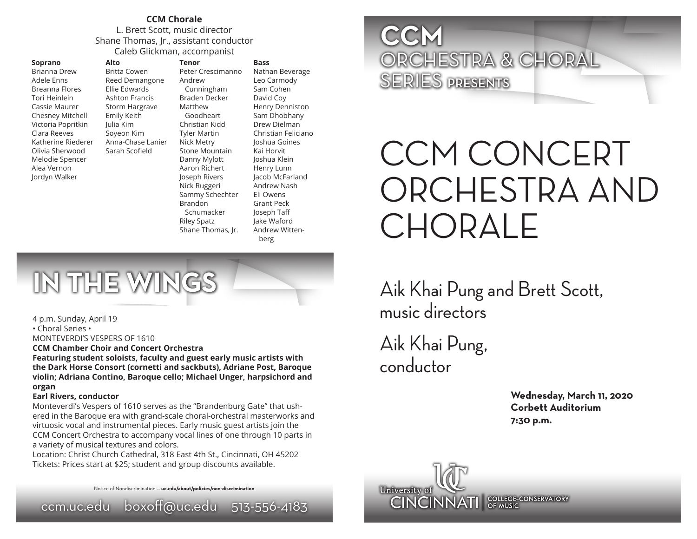## **CCM Chorale**

L. Brett Scott, music director Shane Thomas, Jr., assistant conductor Caleb Glickman, accompanist

#### **Soprano**

Brianna Drew Adele Enns Breanna Flores Tori Heinlein Cassie Maurer Chesney Mitchell Victoria Popritkin Clara Reeves Katherine Riederer Olivia Sherwood Melodie Spencer Alea Vernon Jordyn Walker

Britta Cowen Reed Demangone Ellie Edwards Ashton Francis Storm Hargrave Emily Keith Julia Kim Soyeon Kim Anna-Chase Lanier Sarah Scofield **Tenor** Peter Crescimanno Andrew Cunningham Braden Decker Matthew Goodheart Christian Kidd Tyler Martin Nick Metry Stone Mountain Danny Mylott Aaron Richert Joseph Rivers Nick Ruggeri Sammy Schechter Brandon Schumacker Riley Spatz

**Bass** Nathan Beverage Leo Carmody Sam Cohen David Coy Henry Denniston Sam Dhobhany Drew Dielman Christian Feliciano Joshua Goines Kai Horvit Joshua Klein Henry Lunn Jacob McFarland Andrew Nash Eli Owens Grant Peck Joseph Taff Jake Waford Andrew Witten berg



Shane Thomas, Jr.

4 p.m. Sunday, April 19 • Choral Series •

MONTEVERDI'S VESPERS OF 1610

**CCM Chamber Choir and Concert Orchestra**

**Alto** 

**Featuring student soloists, faculty and guest early music artists with the Dark Horse Consort (cornetti and sackbuts), Adriane Post, Baroque violin; Adriana Contino, Baroque cello; Michael Unger, harpsichord and organ**

#### **Earl Rivers, conductor**

Monteverdi's Vespers of 1610 serves as the "Brandenburg Gate" that ushered in the Baroque era with grand-scale choral-orchestral masterworks and virtuosic vocal and instrumental pieces. Early music guest artists join the CCM Concert Orchestra to accompany vocal lines of one through 10 parts in a variety of musical textures and colors.

Location: Christ Church Cathedral, 318 East 4th St., Cincinnati, OH 45202 Tickets: Prices start at \$25; student and group discounts available.

Notice of Nondiscrimination — **uc.edu/about/policies/non-discrimination**



## **CCM** ORCHESTRA & CHORAL SERIES PRESENTS

# CCM CONCERT ORCHESTRA AND CHORALE

Aik Khai Pung and Brett Scott, music directors

Aik Khai Pung, conductor

> **Wednesday, March 11, 2020 Corbett Auditorium 7:30 p.m.**